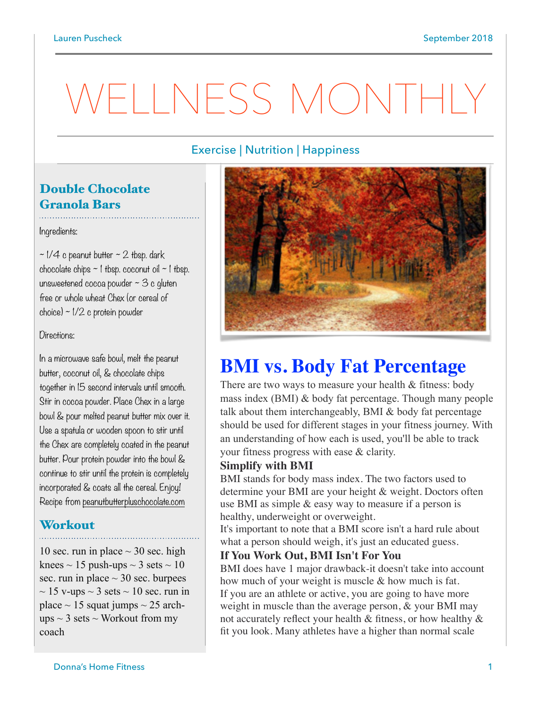# WELLNESS MONTHIN

# Exercise | Nutrition | Happiness

# Double Chocolate Granola Bars

#### Ingredients:

 $\sim$  1/4 c peanut butter  $\sim$  2 tbsp. dark chocolate chips  $\sim$  1 tbsp. coconut oil  $\sim$  1 tbsp. unsweetened cocoa powder  $\sim$  3 c gluten free or whole wheat Chex (or cereal of choice) ~ 1/2 c protein powder

#### Directions:

In a microwave safe bowl, melt the peanut butter, coconut oil, & chocolate chips together in 15 second intervals until smooth. Stir in cocoa powder. Place Chex in a large bowl & pour melted peanut butter mix over it. Use a spatula or wooden spoon to stir until the Chex are completely coated in the peanut butter. Pour protein powder into the bowl & continue to stir until the protein is completely incorporated & coats all the cereal. Enjoy! Recipe from [peanutbutterpluschocolate.com](http://peanutbutterpluschocolate.com)

#### Workout

10 sec. run in place  $\sim$  30 sec. high knees  $\sim$  15 push-ups  $\sim$  3 sets  $\sim$  10 sec. run in place  $\sim$  30 sec. burpees  $\sim$  15 v-ups  $\sim$  3 sets  $\sim$  10 sec. run in place  $\sim$  15 squat jumps  $\sim$  25 archups  $\sim$  3 sets  $\sim$  Workout from my coach



# **BMI vs. Body Fat Percentage**

There are two ways to measure your health & fitness: body mass index (BMI) & body fat percentage. Though many people talk about them interchangeably, BMI & body fat percentage should be used for different stages in your fitness journey. With an understanding of how each is used, you'll be able to track your fitness progress with ease & clarity.

#### **Simplify with BMI**

BMI stands for body mass index. The two factors used to determine your BMI are your height & weight. Doctors often use BMI as simple & easy way to measure if a person is healthy, underweight or overweight.

It's important to note that a BMI score isn't a hard rule about what a person should weigh, it's just an educated guess.

#### **If You Work Out, BMI Isn't For You**

BMI does have 1 major drawback-it doesn't take into account how much of your weight is muscle & how much is fat. If you are an athlete or active, you are going to have more weight in muscle than the average person, & your BMI may not accurately reflect your health & fitness, or how healthy & fit you look. Many athletes have a higher than normal scale